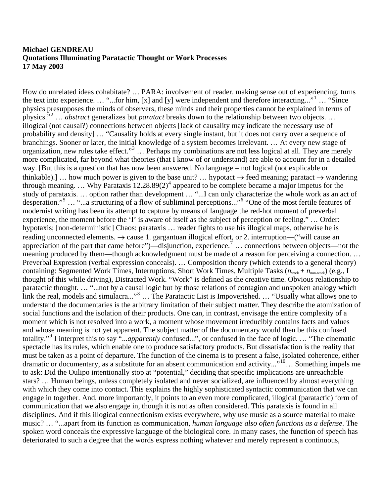## **Michael GENDREAU Quotations Illuminating Paratactic Thought or Work Processes 17 May 2003**

How do unrelated ideas cohabitate? … PARA: involvement of reader. making sense out of experiencing. turns the text into experience. ... "...for him, [x] and [y] were independent and therefore interacting..."<sup>[1](#page-2-0)</sup> ... "Since physics presupposes the minds of observers, these minds and their properties cannot be explained in terms of physics."[2](#page-2-1) … *abstract* generalizes but *paratact* breaks down to the relationship between two objects. … illogical (not causal?) connections between objects [lack of causality may indicate the necessary use of probability and density] … "Causality holds at every single instant, but it does not carry over a sequence of branchings. Sooner or later, the initial knowledge of a system becomes irrelevant. … At every new stage of organization, new rules take effect."<sup>[3](#page-2-1)</sup> ... Perhaps my combinations are not less logical at all. They are merely more complicated, far beyond what theories (that I know of or understand) are able to account for in a detailed way. [But this is a question that has now been answered. No language = not logical (not explicable or thinkable).] … how much power is given to the base unit? … hypotact  $\rightarrow$  feed meaning; paratact  $\rightarrow$  wandering through meaning. ... Why Parataxis  $12.28.89(2)^4$  $12.28.89(2)^4$  appeared to be complete became a major impetus for the study of parataxis. … option rather than development … "...I can only characterize the whole work as an act of desperation."[5](#page-2-1) … "...a structuring of a flow of subliminal perceptions..."[6](#page-2-1) "One of the most fertile features of modernist writing has been its attempt to capture by means of language the red-hot moment of preverbal experience, the moment before the 'I' is aware of itself as the subject of perception or feeling." … Order: hypotaxis; [non-deterministic] Chaos: parataxis … reader fights to use his illogical maps, otherwise he is reading unconnected elements.  $\rightarrow$  cause 1. gargantuan illogical effort, or 2. interruption—("will cause an appreciation of the part that came before")—disjunction, experience.<sup>[7](#page-2-1)</sup> ... connections between objects—not the meaning produced by them—though acknowledgment must be made of a reason for perceiving a connection. … Preverbal Expression (verbal expression conceals). … Composition theory (which extends to a general theory) containing: Segmented Work Times, Interruptions, Short Work Times, Multiple Tasks  $(n_{work} + n_{non-work})$  (e.g., I thought of this while driving), Distracted Work. "Work" is defined as the creative time. Obvious relationship to paratactic thought. … "...not by a causal logic but by those relations of contagion and unspoken analogy which link the real, models and simulacra..."<sup>[8](#page-2-1)</sup> ... The Paratactic List is Impoverished. ... "Usually what allows one to understand the documentaries is the arbitrary limitation of their subject matter. They describe the atomization of social functions and the isolation of their products. One can, in contrast, envisage the entire complexity of a moment which is not resolved into a work, a moment whose movement irreducibly contains facts and values and whose meaning is not yet apparent. The subject matter of the documentary would then be this confused totality."[9](#page-2-1) I interpret this to say "...*apparently* confused...", or confused in the face of logic. … "The cinematic spectacle has its rules, which enable one to produce satisfactory products. But dissatisfaction is the reality that must be taken as a point of departure. The function of the cinema is to present a false, isolated coherence, either dramatic or documentary, as a substitute for an absent communication and activity..."[10](#page-2-1)… Something impels me to ask: Did the Oulipo intentionally stop at "potential," deciding that specific implications are unreachable stars? … Human beings, unless completely isolated and never socialized, are influenced by almost everything with which they come into contact. This explains the highly sophisticated syntactic communication that we can engage in together. And, more importantly, it points to an even more complicated, illogical (paratactic) form of communication that we also engage in, though it is not as often considered. This parataxis is found in all disciplines. And if this illogical connectionism exists everywhere, why use music as a source material to make music? … "...apart from its function as communication, *human language also often functions as a defense*. The spoken word conceals the expressive language of the biological core. In many cases, the function of speech has deteriorated to such a degree that the words express nothing whatever and merely represent a continuous,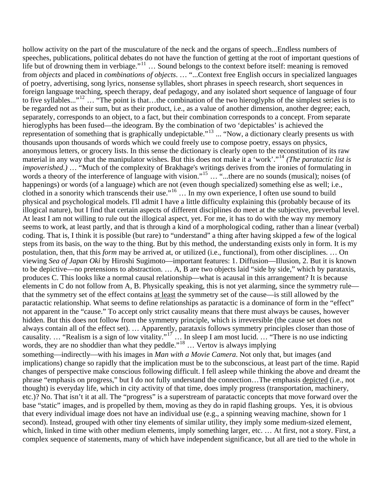hollow activity on the part of the musculature of the neck and the organs of speech...Endless numbers of speeches, publications, political debates do not have the function of getting at the root of important questions of life but of drowning them in verbiage."<sup>[11](#page-2-1)</sup> ... Sound belongs to the context before itself: meaning is removed from *objects* and placed in *combinations of objects*. … "...Context free English occurs in specialized languages of poetry, advertising, song lyrics, nonsense syllables, short phrases in speech research, short sequences in foreign language teaching, speech therapy, deaf pedagogy, and any isolated short sequence of language of four to five syllables..."[12](#page-2-1) … "The point is that…the combination of the two hieroglyphs of the simplest series is to be regarded not as their sum, but as their product, i.e., as a value of another dimension, another degree; each, separately, corresponds to an object, to a fact, but their combination corresponds to a concept. From separate hieroglyphs has been fused—the ideogram. By the combination of two 'depictables' is achieved the representation of something that is graphically undepictable."<sup>[13](#page-2-1)</sup> ... "Now, a dictionary clearly presents us with thousands upon thousands of words which we could freely use to compose poetry, essays on physics, anonymous letters, or grocery lists. In this sense the dictionary is clearly open to the reconstitution of its raw material in any way that the manipulator wishes. But this does not make it a 'work'."[14](#page-2-1) *(The paratactic list is impoverished.)* … "Much of the complexity of Brakhage's writings derives from the ironies of formulating in words a theory of the interference of language with vision."<sup>[15](#page-2-1)</sup> ... "...there are no sounds (musical); noises (of happenings) or words (of a language) which are not (even though specialized) something else as well; i.e., clothed in a sonority which transcends their use."<sup>[16](#page-2-1)</sup> ... In my own experience, I often use sound to build physical and psychological models. I'll admit I have a little difficulty explaining this (probably because of its illogical nature), but I find that certain aspects of different disciplines do meet at the subjective, preverbal level. At least I am not willing to rule out the illogical aspect, yet. For me, it has to do with the way my memory seems to work, at least partly, and that is through a kind of a morphological coding, rather than a linear (verbal) coding. That is, I think it is possible (but rare) to "understand" a thing after having skipped a few of the logical steps from its basis, on the way to the thing. But by this method, the understanding exists only in form. It is my postulation, then, that this *form* may be arrived at, or utilized (i.e., functional), from other disciplines. … On viewing *Sea of Japan Oki* by Hiroshi Sugimoto—important features: 1. Diffusion—Illusion, 2. But it is known to be depictive—no pretensions to abstraction. … A, B are two objects laid "side by side," which by parataxis, produces C. This looks like a normal causal relationship—what is acausal in this arrangement? It is because elements in C do not follow from A, B. Physically speaking, this is not yet alarming, since the symmetry rule that the symmetry set of the effect contains at least the symmetry set of the cause—is still allowed by the paratactic relationship. What seems to define relationships as paratactic is a dominance of form in the "effect" not apparent in the "cause." To accept only strict causality means that there must always be causes, however hidden. But this does not follow from the symmetry principle, which is irreversible (the cause set does not always contain all of the effect set). … Apparently, parataxis follows symmetry principles closer than those of causality. ... "Realism is a sign of low vitality."<sup>[17](#page-2-1)</sup> ... In sleep I am most lucid. ... "There is no use indicting words, they are no shoddier than what they peddle."<sup>[18](#page-2-1)</sup> ... Vertov is always implying something—indirectly—with his images in *Man with a Movie Camera*. Not only that, but images (and implications) change so rapidly that the implication must be to the subconscious, at least part of the time. Rapid changes of perspective make conscious following difficult. I fell asleep while thinking the above and dreamt the phrase "emphasis on progress," but I do not fully understand the connection…The emphasis depicted (i.e., not thought) is everyday life, which in city activity of that time, does imply progress (transportation, machinery, etc.)? No. That isn't it at all. The "progress" is a superstream of paratactic concepts that move forward over the base "static" images, and is propelled by them, moving as they do in rapid flashing groups. Yes, it is obvious that every individual image does not have an individual use (e.g., a spinning weaving machine, shown for 1 second). Instead, grouped with other tiny elements of similar utility, they imply some medium-sized element,

which, linked in time with other medium elements, imply something larger, etc. ... At first, not a story. First, a complex sequence of statements, many of which have independent significance, but all are tied to the whole in